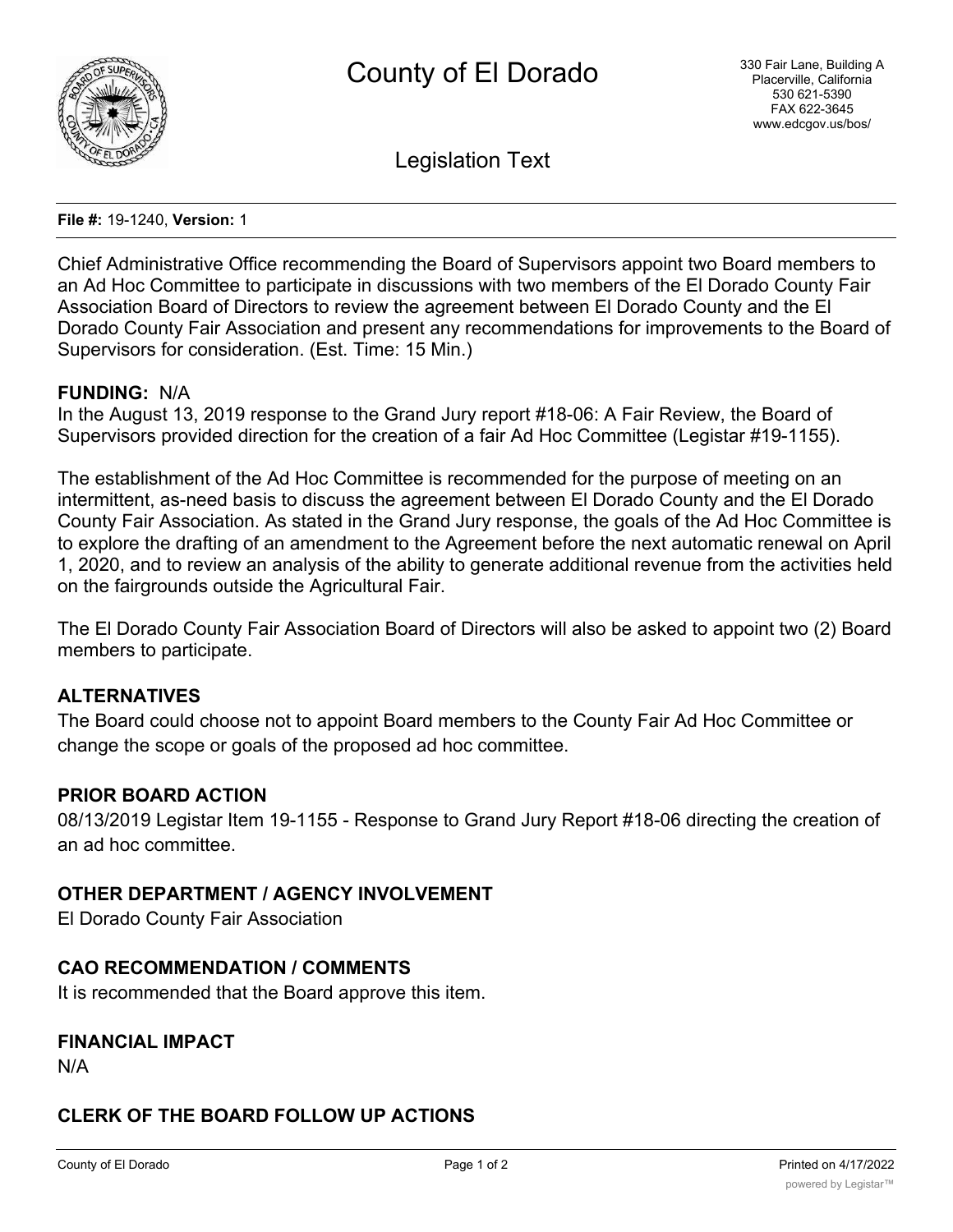

Legislation Text

**File #:** 19-1240, **Version:** 1

Chief Administrative Office recommending the Board of Supervisors appoint two Board members to an Ad Hoc Committee to participate in discussions with two members of the El Dorado County Fair Association Board of Directors to review the agreement between El Dorado County and the El Dorado County Fair Association and present any recommendations for improvements to the Board of Supervisors for consideration. (Est. Time: 15 Min.)

#### **FUNDING:** N/A

In the August 13, 2019 response to the Grand Jury report #18-06: A Fair Review, the Board of Supervisors provided direction for the creation of a fair Ad Hoc Committee (Legistar #19-1155).

The establishment of the Ad Hoc Committee is recommended for the purpose of meeting on an intermittent, as-need basis to discuss the agreement between El Dorado County and the El Dorado County Fair Association. As stated in the Grand Jury response, the goals of the Ad Hoc Committee is to explore the drafting of an amendment to the Agreement before the next automatic renewal on April 1, 2020, and to review an analysis of the ability to generate additional revenue from the activities held on the fairgrounds outside the Agricultural Fair.

The El Dorado County Fair Association Board of Directors will also be asked to appoint two (2) Board members to participate.

### **ALTERNATIVES**

The Board could choose not to appoint Board members to the County Fair Ad Hoc Committee or change the scope or goals of the proposed ad hoc committee.

#### **PRIOR BOARD ACTION**

08/13/2019 Legistar Item 19-1155 - Response to Grand Jury Report #18-06 directing the creation of an ad hoc committee.

#### **OTHER DEPARTMENT / AGENCY INVOLVEMENT**

El Dorado County Fair Association

#### **CAO RECOMMENDATION / COMMENTS**

It is recommended that the Board approve this item.

### **FINANCIAL IMPACT**

N/A

## **CLERK OF THE BOARD FOLLOW UP ACTIONS**